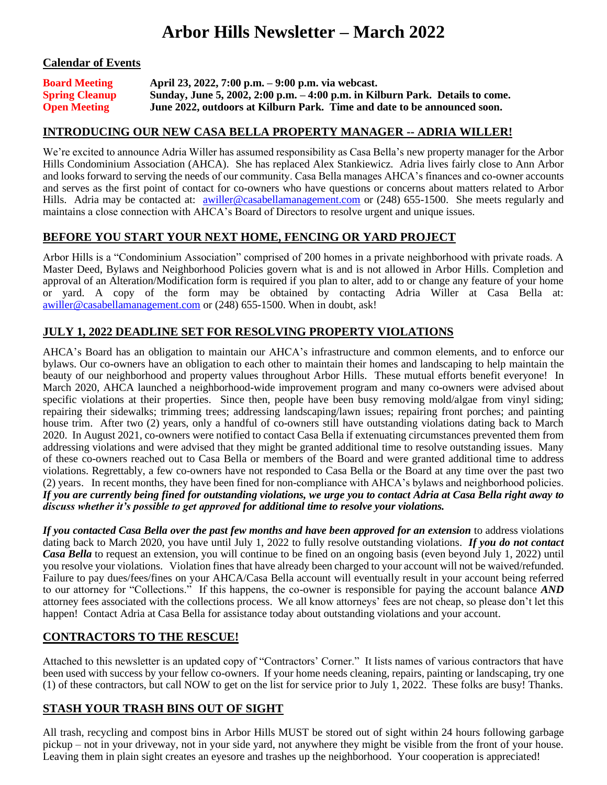# **Arbor Hills Newsletter – March 2022**

#### **Calendar of Events**

| <b>Board Meeting</b>  | April 23, 2022, 7:00 p.m. – 9:00 p.m. via webcast.                             |
|-----------------------|--------------------------------------------------------------------------------|
| <b>Spring Cleanup</b> | Sunday, June 5, 2002, 2:00 p.m. $-4:00$ p.m. in Kilburn Park. Details to come. |
| <b>Open Meeting</b>   | June 2022, outdoors at Kilburn Park. Time and date to be announced soon.       |

#### **INTRODUCING OUR NEW CASA BELLA PROPERTY MANAGER -- ADRIA WILLER!**

We're excited to announce Adria Willer has assumed responsibility as Casa Bella's new property manager for the Arbor Hills Condominium Association (AHCA). She has replaced Alex Stankiewicz. Adria lives fairly close to Ann Arbor and looks forward to serving the needs of our community. Casa Bella manages AHCA's finances and co-owner accounts and serves as the first point of contact for co-owners who have questions or concerns about matters related to Arbor Hills. Adria may be contacted at: **[awiller@casabellamanagement.com](mailto:awiller@casabellamanagement.com)** or (248) 655-1500. She meets regularly and maintains a close connection with AHCA's Board of Directors to resolve urgent and unique issues.

#### **BEFORE YOU START YOUR NEXT HOME, FENCING OR YARD PROJECT**

Arbor Hills is a "Condominium Association" comprised of 200 homes in a private neighborhood with private roads. A Master Deed, Bylaws and Neighborhood Policies govern what is and is not allowed in Arbor Hills. Completion and approval of an Alteration/Modification form is required if you plan to alter, add to or change any feature of your home or yard. A copy of the form may be obtained by contacting Adria Willer at Casa Bella at: [awiller@casabellamanagement.com](mailto:awiller@casabellamanagement.com) or (248) 655-1500. When in doubt, ask!

#### **JULY 1, 2022 DEADLINE SET FOR RESOLVING PROPERTY VIOLATIONS**

AHCA's Board has an obligation to maintain our AHCA's infrastructure and common elements, and to enforce our bylaws. Our co-owners have an obligation to each other to maintain their homes and landscaping to help maintain the beauty of our neighborhood and property values throughout Arbor Hills. These mutual efforts benefit everyone! In March 2020, AHCA launched a neighborhood-wide improvement program and many co-owners were advised about specific violations at their properties. Since then, people have been busy removing mold/algae from vinyl siding; repairing their sidewalks; trimming trees; addressing landscaping/lawn issues; repairing front porches; and painting house trim. After two (2) years, only a handful of co-owners still have outstanding violations dating back to March 2020. In August 2021, co-owners were notified to contact Casa Bella if extenuating circumstances prevented them from addressing violations and were advised that they might be granted additional time to resolve outstanding issues. Many of these co-owners reached out to Casa Bella or members of the Board and were granted additional time to address violations. Regrettably, a few co-owners have not responded to Casa Bella or the Board at any time over the past two (2) years. In recent months, they have been fined for non-compliance with AHCA's bylaws and neighborhood policies. *If you are currently being fined for outstanding violations, we urge you to contact Adria at Casa Bella right away to discuss whether it's possible to get approved for additional time to resolve your violations.* 

*If you contacted Casa Bella over the past few months and have been approved for an extension* to address violations dating back to March 2020, you have until July 1, 2022 to fully resolve outstanding violations. *If you do not contact Casa Bella* to request an extension, you will continue to be fined on an ongoing basis (even beyond July 1, 2022) until you resolve your violations. Violation fines that have already been charged to your account will not be waived/refunded. Failure to pay dues/fees/fines on your AHCA/Casa Bella account will eventually result in your account being referred to our attorney for "Collections." If this happens, the co-owner is responsible for paying the account balance *AND* attorney fees associated with the collections process. We all know attorneys' fees are not cheap, so please don't let this happen! Contact Adria at Casa Bella for assistance today about outstanding violations and your account.

#### **CONTRACTORS TO THE RESCUE!**

Attached to this newsletter is an updated copy of "Contractors' Corner." It lists names of various contractors that have been used with success by your fellow co-owners. If your home needs cleaning, repairs, painting or landscaping, try one (1) of these contractors, but call NOW to get on the list for service prior to July 1, 2022. These folks are busy! Thanks.

## **STASH YOUR TRASH BINS OUT OF SIGHT**

All trash, recycling and compost bins in Arbor Hills MUST be stored out of sight within 24 hours following garbage pickup – not in your driveway, not in your side yard, not anywhere they might be visible from the front of your house. Leaving them in plain sight creates an eyesore and trashes up the neighborhood. Your cooperation is appreciated!